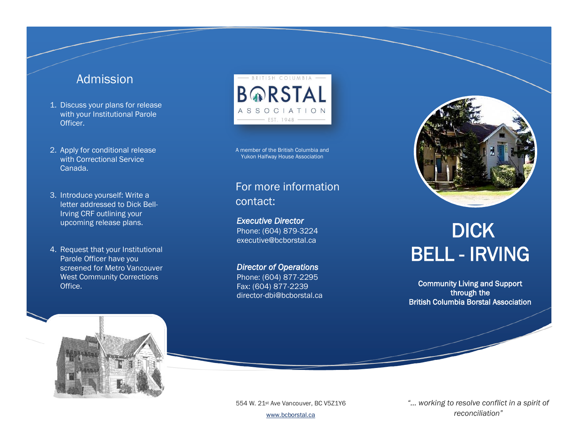### Admission

- 1. Discuss your plans for release with your Institutional Parole Officer.
- 2. Apply for conditional release with Correctional Service Canada.
- 3. Introduce yourself: Write a letter addressed to Dick Bell-Irving CRF outlining your upcoming release plans.
- 4. Request that your Institutional Parole Officer have you screened for Metro Vancouver West Community Corrections Office.



A member of the British Columbia and Yukon Halfway House Association

### For more information contact:

*Executive Director*  Phone: (604) 879-3224 executive@bcborstal.ca

*Director of Operations*  Phone: (604) 877-2295 Fax: (604) 877-2239 director-dbi@bcborstal.ca



# **DICK** BELL - IRVING

Community Living and Support through the British Columbia Borstal Association



554 W. 21st Ave Vancouver, BC V5Z1Y6

[www.bcborstal.ca](http://www.bcborstal.ca/)

*"… working to resolve conflict in a spirit of reconciliation"*